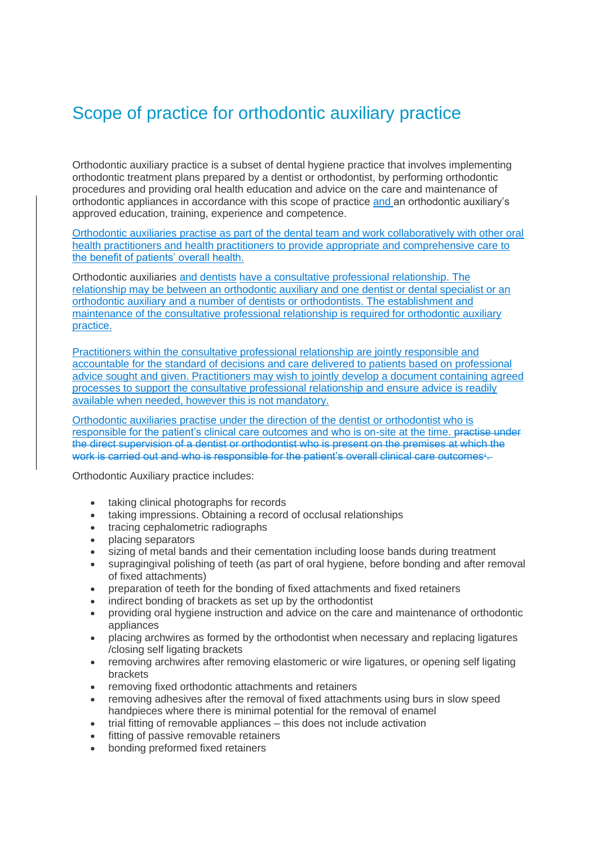## Scope of practice for orthodontic auxiliary practice

Orthodontic auxiliary practice is a subset of dental hygiene practice that involves implementing orthodontic treatment plans prepared by a dentist or orthodontist, by performing orthodontic procedures and providing oral health education and advice on the care and maintenance of orthodontic appliances in accordance with this scope of practice and an orthodontic auxiliary's approved education, training, experience and competence.

Orthodontic auxiliaries practise as part of the dental team and work collaboratively with other oral health practitioners and health practitioners to provide appropriate and comprehensive care to the benefit of patients' overall health.

Orthodontic auxiliaries and dentists have a consultative professional relationship. The relationship may be between an orthodontic auxiliary and one dentist or dental specialist or an orthodontic auxiliary and a number of dentists or orthodontists. The establishment and maintenance of the consultative professional relationship is required for orthodontic auxiliary practice.

Practitioners within the consultative professional relationship are jointly responsible and accountable for the standard of decisions and care delivered to patients based on professional advice sought and given. Practitioners may wish to jointly develop a document containing agreed processes to support the consultative professional relationship and ensure advice is readily available when needed, however this is not mandatory.

Orthodontic auxiliaries practise under the direction of the dentist or orthodontist who is responsible for the patient's clinical care outcomes and who is on-site at the time. practise under the direct supervision of a dentist or orthodontist who is present on the premises at which the work is carried out and who is responsible for the patient's overall clinical care outcomes<sup>4</sup>.

Orthodontic Auxiliary practice includes:

- taking clinical photographs for records
- taking impressions. Obtaining a record of occlusal relationships
- tracing cephalometric radiographs
- placing separators
- sizing of metal bands and their cementation including loose bands during treatment
- supragingival polishing of teeth (as part of oral hygiene, before bonding and after removal of fixed attachments)
- preparation of teeth for the bonding of fixed attachments and fixed retainers
- indirect bonding of brackets as set up by the orthodontist
- providing oral hygiene instruction and advice on the care and maintenance of orthodontic appliances
- placing archwires as formed by the orthodontist when necessary and replacing ligatures /closing self ligating brackets
- removing archwires after removing elastomeric or wire ligatures, or opening self ligating brackets
- removing fixed orthodontic attachments and retainers
- removing adhesives after the removal of fixed attachments using burs in slow speed handpieces where there is minimal potential for the removal of enamel
- trial fitting of removable appliances this does not include activation
- fitting of passive removable retainers
- bonding preformed fixed retainers